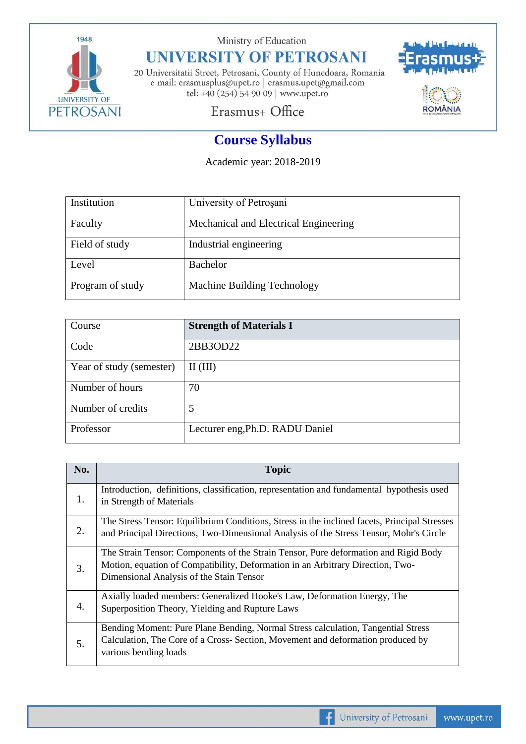

Ministry of Education

## **UNIVERSITY OF PETROSANI**

20 Universitatii Street, Petrosani, County of Hunedoara, Romania e-mail: erasmusplus@upet.ro $\mid$ erasmus.upet@gmail.com tel: +40 (254) 54 90 09 | www.upet.ro



## Erasmus+ Office

## **Course Syllabus**

Academic year: 2018-2019

| Institution      | University of Petrosani               |
|------------------|---------------------------------------|
| Faculty          | Mechanical and Electrical Engineering |
| Field of study   | Industrial engineering                |
| Level            | <b>Bachelor</b>                       |
| Program of study | Machine Building Technology           |

| Course                   | <b>Strength of Materials I</b>  |
|--------------------------|---------------------------------|
| Code                     | 2BB3OD22                        |
| Year of study (semester) | $\mathbf{II}(\mathbf{III})$     |
| Number of hours          | 70                              |
| Number of credits        | 5                               |
| Professor                | Lecturer eng, Ph.D. RADU Daniel |

| No. | <b>Topic</b>                                                                                                                                                                                                      |
|-----|-------------------------------------------------------------------------------------------------------------------------------------------------------------------------------------------------------------------|
| 1.  | Introduction, definitions, classification, representation and fundamental hypothesis used<br>in Strength of Materials                                                                                             |
| 2.  | The Stress Tensor: Equilibrium Conditions, Stress in the inclined facets, Principal Stresses<br>and Principal Directions, Two-Dimensional Analysis of the Stress Tensor, Mohr's Circle                            |
| 3.  | The Strain Tensor: Components of the Strain Tensor, Pure deformation and Rigid Body<br>Motion, equation of Compatibility, Deformation in an Arbitrary Direction, Two-<br>Dimensional Analysis of the Stain Tensor |
| 4.  | Axially loaded members: Generalized Hooke's Law, Deformation Energy, The<br>Superposition Theory, Yielding and Rupture Laws                                                                                       |
| 5.  | Bending Moment: Pure Plane Bending, Normal Stress calculation, Tangential Stress<br>Calculation, The Core of a Cross- Section, Movement and deformation produced by<br>various bending loads                      |